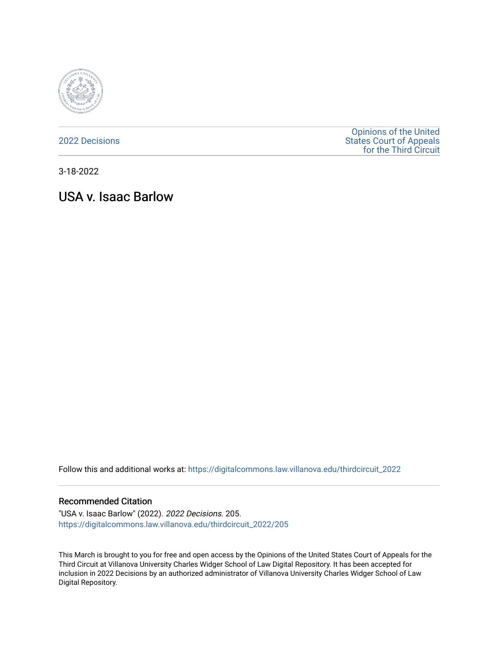

[2022 Decisions](https://digitalcommons.law.villanova.edu/thirdcircuit_2022)

[Opinions of the United](https://digitalcommons.law.villanova.edu/thirdcircuit)  [States Court of Appeals](https://digitalcommons.law.villanova.edu/thirdcircuit)  [for the Third Circuit](https://digitalcommons.law.villanova.edu/thirdcircuit) 

3-18-2022

# USA v. Isaac Barlow

Follow this and additional works at: [https://digitalcommons.law.villanova.edu/thirdcircuit\\_2022](https://digitalcommons.law.villanova.edu/thirdcircuit_2022?utm_source=digitalcommons.law.villanova.edu%2Fthirdcircuit_2022%2F205&utm_medium=PDF&utm_campaign=PDFCoverPages) 

#### Recommended Citation

"USA v. Isaac Barlow" (2022). 2022 Decisions. 205. [https://digitalcommons.law.villanova.edu/thirdcircuit\\_2022/205](https://digitalcommons.law.villanova.edu/thirdcircuit_2022/205?utm_source=digitalcommons.law.villanova.edu%2Fthirdcircuit_2022%2F205&utm_medium=PDF&utm_campaign=PDFCoverPages)

This March is brought to you for free and open access by the Opinions of the United States Court of Appeals for the Third Circuit at Villanova University Charles Widger School of Law Digital Repository. It has been accepted for inclusion in 2022 Decisions by an authorized administrator of Villanova University Charles Widger School of Law Digital Repository.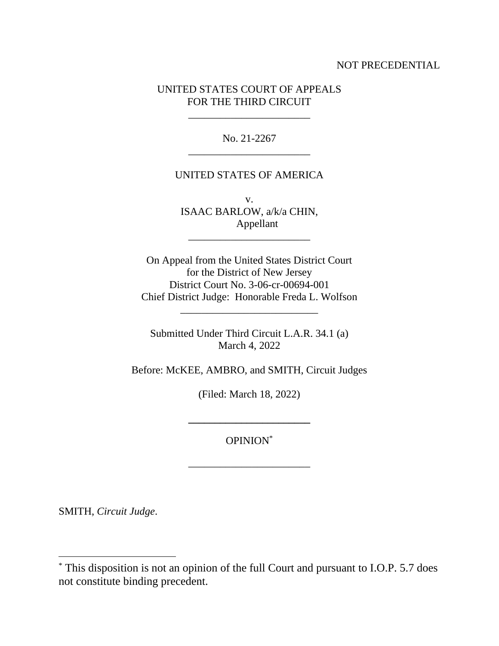## NOT PRECEDENTIAL

# UNITED STATES COURT OF APPEALS FOR THE THIRD CIRCUIT

\_\_\_\_\_\_\_\_\_\_\_\_\_\_\_\_\_\_\_\_\_\_\_

No. 21-2267 \_\_\_\_\_\_\_\_\_\_\_\_\_\_\_\_\_\_\_\_\_\_\_

#### UNITED STATES OF AMERICA

v. ISAAC BARLOW, a/k/a CHIN, Appellant

\_\_\_\_\_\_\_\_\_\_\_\_\_\_\_\_\_\_\_\_\_\_\_

On Appeal from the United States District Court for the District of New Jersey District Court No. 3-06-cr-00694-001 Chief District Judge: Honorable Freda L. Wolfson

Submitted Under Third Circuit L.A.R. 34.1 (a) March 4, 2022

\_\_\_\_\_\_\_\_\_\_\_\_\_\_\_\_\_\_\_\_\_\_\_\_\_\_

Before: McKEE, AMBRO, and SMITH, Circuit Judges

(Filed: March 18, 2022)

OPINION\*

\_\_\_\_\_\_\_\_\_\_\_\_\_\_\_\_\_\_\_\_\_\_\_

**\_\_\_\_\_\_\_\_\_\_\_\_\_\_\_\_\_\_\_\_\_\_\_**

SMITH, *Circuit Judge*.

<sup>\*</sup> This disposition is not an opinion of the full Court and pursuant to I.O.P. 5.7 does not constitute binding precedent.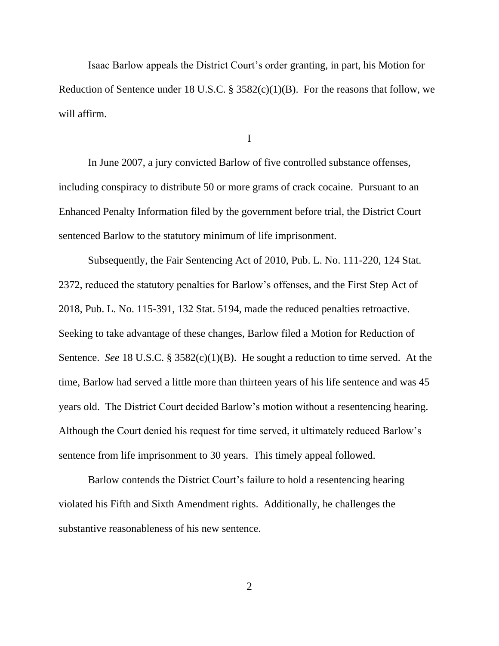Isaac Barlow appeals the District Court's order granting, in part, his Motion for Reduction of Sentence under 18 U.S.C.  $\S$  3582(c)(1)(B). For the reasons that follow, we will affirm.

I

In June 2007, a jury convicted Barlow of five controlled substance offenses, including conspiracy to distribute 50 or more grams of crack cocaine. Pursuant to an Enhanced Penalty Information filed by the government before trial, the District Court sentenced Barlow to the statutory minimum of life imprisonment.

Subsequently, the Fair Sentencing Act of 2010, Pub. L. No. 111-220, 124 Stat. 2372, reduced the statutory penalties for Barlow's offenses, and the First Step Act of 2018, Pub. L. No. 115-391, 132 Stat. 5194, made the reduced penalties retroactive. Seeking to take advantage of these changes, Barlow filed a Motion for Reduction of Sentence. *See* 18 U.S.C. § 3582(c)(1)(B). He sought a reduction to time served. At the time, Barlow had served a little more than thirteen years of his life sentence and was 45 years old. The District Court decided Barlow's motion without a resentencing hearing. Although the Court denied his request for time served, it ultimately reduced Barlow's sentence from life imprisonment to 30 years. This timely appeal followed.

Barlow contends the District Court's failure to hold a resentencing hearing violated his Fifth and Sixth Amendment rights. Additionally, he challenges the substantive reasonableness of his new sentence.

2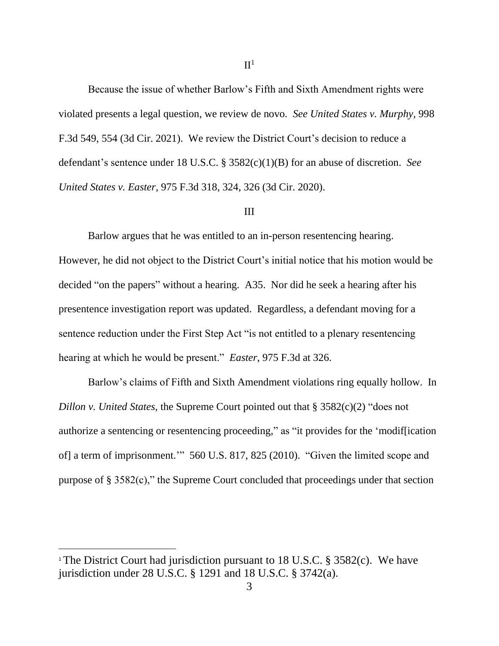Because the issue of whether Barlow's Fifth and Sixth Amendment rights were violated presents a legal question, we review de novo. *See United States v. Murphy*, 998 F.3d 549, 554 (3d Cir. 2021). We review the District Court's decision to reduce a defendant's sentence under 18 U.S.C. § 3582(c)(1)(B) for an abuse of discretion. *See United States v. Easter*, 975 F.3d 318, 324, 326 (3d Cir. 2020).

### III

Barlow argues that he was entitled to an in-person resentencing hearing. However, he did not object to the District Court's initial notice that his motion would be decided "on the papers" without a hearing. A35. Nor did he seek a hearing after his presentence investigation report was updated. Regardless, a defendant moving for a sentence reduction under the First Step Act "is not entitled to a plenary resentencing hearing at which he would be present." *Easter*, 975 F.3d at 326.

Barlow's claims of Fifth and Sixth Amendment violations ring equally hollow. In *Dillon v. United States*, the Supreme Court pointed out that § 3582(c)(2) "does not authorize a sentencing or resentencing proceeding," as "it provides for the 'modif[ication of] a term of imprisonment.'" 560 U.S. 817, 825 (2010). "Given the limited scope and purpose of § 3582(c)," the Supreme Court concluded that proceedings under that section

<sup>&</sup>lt;sup>1</sup> The District Court had jurisdiction pursuant to 18 U.S.C. § 3582(c). We have jurisdiction under 28 U.S.C. § 1291 and 18 U.S.C. § 3742(a).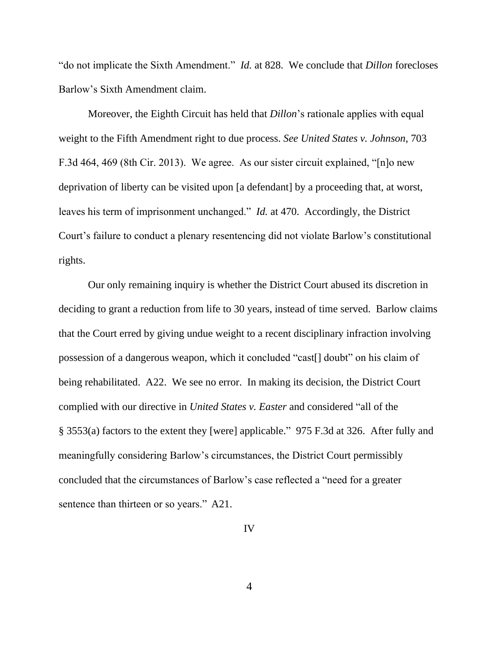"do not implicate the Sixth Amendment." *Id.* at 828. We conclude that *Dillon* forecloses Barlow's Sixth Amendment claim.

Moreover, the Eighth Circuit has held that *Dillon*'s rationale applies with equal weight to the Fifth Amendment right to due process. *See United States v. Johnson*, 703 F.3d 464, 469 (8th Cir. 2013). We agree. As our sister circuit explained, "[n]o new deprivation of liberty can be visited upon [a defendant] by a proceeding that, at worst, leaves his term of imprisonment unchanged." *Id.* at 470. Accordingly, the District Court's failure to conduct a plenary resentencing did not violate Barlow's constitutional rights.

Our only remaining inquiry is whether the District Court abused its discretion in deciding to grant a reduction from life to 30 years, instead of time served. Barlow claims that the Court erred by giving undue weight to a recent disciplinary infraction involving possession of a dangerous weapon, which it concluded "cast[] doubt" on his claim of being rehabilitated. A22. We see no error. In making its decision, the District Court complied with our directive in *United States v. Easter* and considered "all of the § 3553(a) factors to the extent they [were] applicable." 975 F.3d at 326. After fully and meaningfully considering Barlow's circumstances, the District Court permissibly concluded that the circumstances of Barlow's case reflected a "need for a greater sentence than thirteen or so years." A21.

IV

4